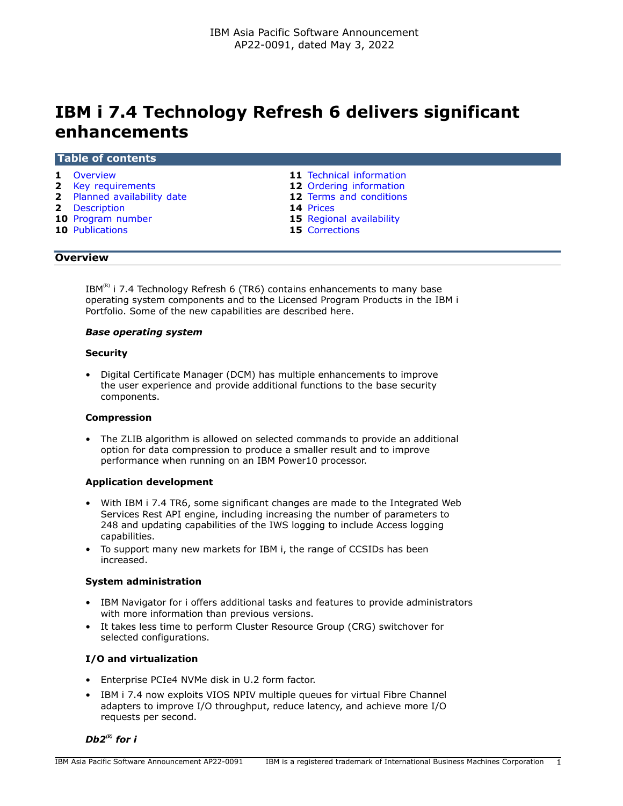# **IBM i 7.4 Technology Refresh 6 delivers significant enhancements**

#### **Table of contents**

- 
- **2** [Key requirements](#page-1-0) **12** [Ordering information](#page-11-0)
- **2** [Planned availability date](#page-1-1) **12** [Terms and conditions](#page-11-1)
- 
- **2** [Description](#page-1-2) **14** [Prices](#page-13-0)
- **10** [Publications](#page-9-1) **15** [Corrections](#page-14-1)
- **1** [Overview](#page-0-0) **11** [Technical information](#page-10-0)
	-
	-
	-
	- **15** [Regional availability](#page-14-0)
	-

# <span id="page-0-0"></span>**Overview**

 $IBM^{(R)}$  i 7.4 Technology Refresh 6 (TR6) contains enhancements to many base operating system components and to the Licensed Program Products in the IBM i Portfolio. Some of the new capabilities are described here.

#### *Base operating system*

# **Security**

• Digital Certificate Manager (DCM) has multiple enhancements to improve the user experience and provide additional functions to the base security components.

#### **Compression**

• The ZLIB algorithm is allowed on selected commands to provide an additional option for data compression to produce a smaller result and to improve performance when running on an IBM Power10 processor.

# **Application development**

- With IBM i 7.4 TR6, some significant changes are made to the Integrated Web Services Rest API engine, including increasing the number of parameters to 248 and updating capabilities of the IWS logging to include Access logging capabilities.
- To support many new markets for IBM i, the range of CCSIDs has been increased.

#### **System administration**

- IBM Navigator for i offers additional tasks and features to provide administrators with more information than previous versions.
- It takes less time to perform Cluster Resource Group (CRG) switchover for selected configurations.

# **I/O and virtualization**

- Enterprise PCIe4 NVMe disk in U.2 form factor.
- IBM i 7.4 now exploits VIOS NPIV multiple queues for virtual Fibre Channel adapters to improve I/O throughput, reduce latency, and achieve more I/O requests per second.

# *Db2(R) for i*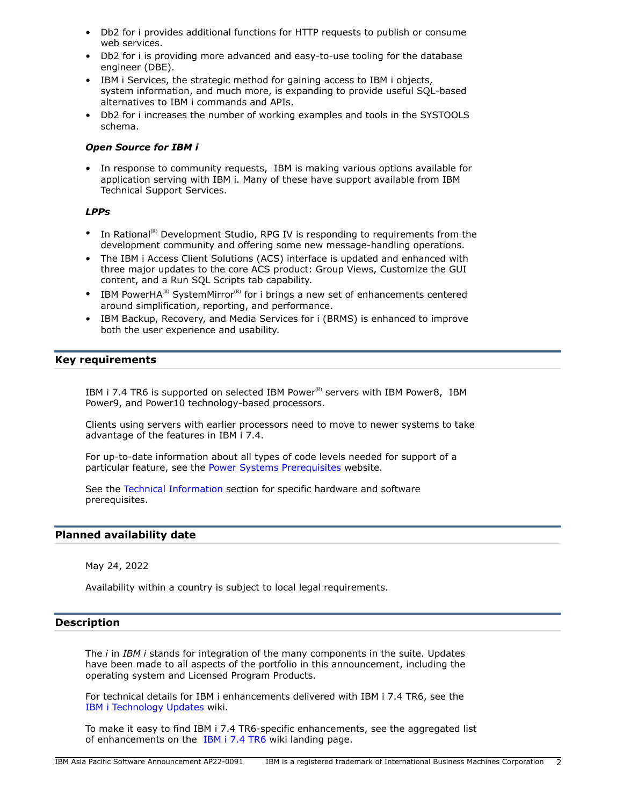- Db2 for i provides additional functions for HTTP requests to publish or consume web services.
- Db2 for i is providing more advanced and easy-to-use tooling for the database engineer (DBE).
- IBM i Services, the strategic method for gaining access to IBM i objects, system information, and much more, is expanding to provide useful SQL-based alternatives to IBM i commands and APIs.
- Db2 for i increases the number of working examples and tools in the SYSTOOLS schema.

## *Open Source for IBM i*

• In response to community requests, IBM is making various options available for application serving with IBM i. Many of these have support available from IBM Technical Support Services.

# *LPPs*

- In Rational<sup>(R)</sup> Development Studio, RPG IV is responding to requirements from the development community and offering some new message-handling operations.
- The IBM i Access Client Solutions (ACS) interface is updated and enhanced with three major updates to the core ACS product: Group Views, Customize the GUI content, and a Run SQL Scripts tab capability.
- IBM PowerHA<sup>(R)</sup> SystemMirror<sup>(R)</sup> for i brings a new set of enhancements centered around simplification, reporting, and performance.
- IBM Backup, Recovery, and Media Services for i (BRMS) is enhanced to improve both the user experience and usability.

# <span id="page-1-0"></span>**Key requirements**

IBM i 7.4 TR6 is supported on selected IBM Power® servers with IBM Power8, IBM Power9, and Power10 technology-based processors.

Clients using servers with earlier processors need to move to newer systems to take advantage of the features in IBM i 7.4.

For up-to-date information about all types of code levels needed for support of a particular feature, see the [Power Systems Prerequisites](https://www.ibm.com/support/customercare/iprt/home) website.

See the [Technical Information](#page-10-0) section for specific hardware and software prerequisites.

# <span id="page-1-1"></span>**Planned availability date**

May 24, 2022

Availability within a country is subject to local legal requirements.

#### <span id="page-1-2"></span>**Description**

The *i* in *IBM i* stands for integration of the many components in the suite. Updates have been made to all aspects of the portfolio in this announcement, including the operating system and Licensed Program Products.

For technical details for IBM i enhancements delivered with IBM i 7.4 TR6, see the [IBM i Technology Updates](https://www.ibm.com/support/pages/node/1119129) wiki.

To make it easy to find IBM i 7.4 TR6-specific enhancements, see the aggregated list of enhancements on the [IBM i 7.4 TR6](http://www.ibm.com/support/pages/ibm-i-74-tr6-enhancements) wiki landing page.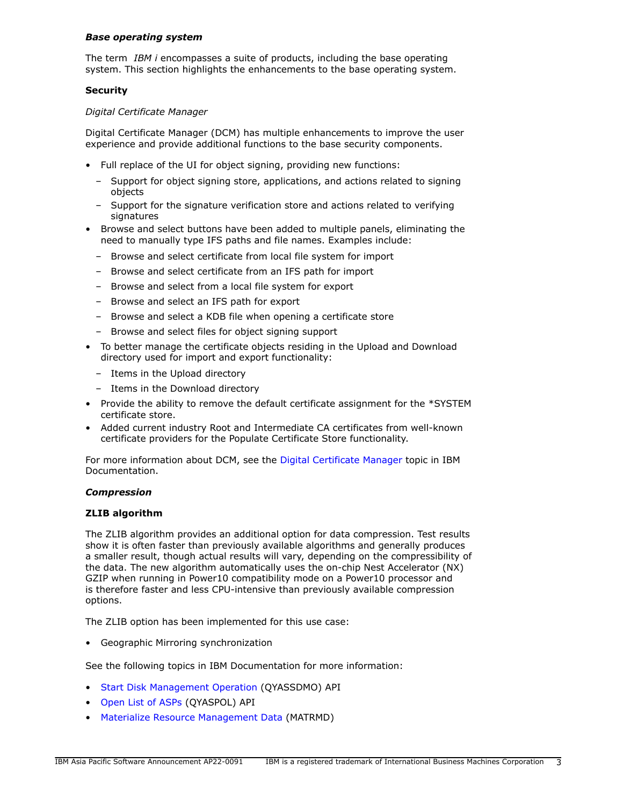#### *Base operating system*

The term *IBM i* encompasses a suite of products, including the base operating system. This section highlights the enhancements to the base operating system.

## **Security**

#### *Digital Certificate Manager*

Digital Certificate Manager (DCM) has multiple enhancements to improve the user experience and provide additional functions to the base security components.

- Full replace of the UI for object signing, providing new functions:
	- Support for object signing store, applications, and actions related to signing objects
	- Support for the signature verification store and actions related to verifying signatures
- Browse and select buttons have been added to multiple panels, eliminating the need to manually type IFS paths and file names. Examples include:
	- Browse and select certificate from local file system for import
	- Browse and select certificate from an IFS path for import
	- Browse and select from a local file system for export
	- Browse and select an IFS path for export
	- Browse and select a KDB file when opening a certificate store
	- Browse and select files for object signing support
- To better manage the certificate objects residing in the Upload and Download directory used for import and export functionality:
	- Items in the Upload directory
	- Items in the Download directory
- Provide the ability to remove the default certificate assignment for the \*SYSTEM certificate store.
- Added current industry Root and Intermediate CA certificates from well-known certificate providers for the Populate Certificate Store functionality.

For more information about DCM, see the [Digital Certificate Manager](https://www.ibm.com/docs/en/i/7.4?topic=security-digital-certificate-manager) topic in IBM Documentation.

#### *Compression*

#### **ZLIB algorithm**

The ZLIB algorithm provides an additional option for data compression. Test results show it is often faster than previously available algorithms and generally produces a smaller result, though actual results will vary, depending on the compressibility of the data. The new algorithm automatically uses the on-chip Nest Accelerator (NX) GZIP when running in Power10 compatibility mode on a Power10 processor and is therefore faster and less CPU-intensive than previously available compression options.

The ZLIB option has been implemented for this use case:

• Geographic Mirroring synchronization

See the following topics in IBM Documentation for more information:

- [Start Disk Management Operation](https://www.ibm.com/docs/en/i/7.4?topic=ssw_ibm_i_74/apis/qyassdmo.htm) (QYASSDMO) API
- [Open List of ASPs](https://www.ibm.com/docs/en/i/7.4?topic=ssw_ibm_i_74/apis/qyaspol.htm) (QYASPOL) API
- [Materialize Resource Management Data](https://www.ibm.com/docs/en/i/7.4?topic=instructions-materialize-resource-management-data-matrmd) (MATRMD)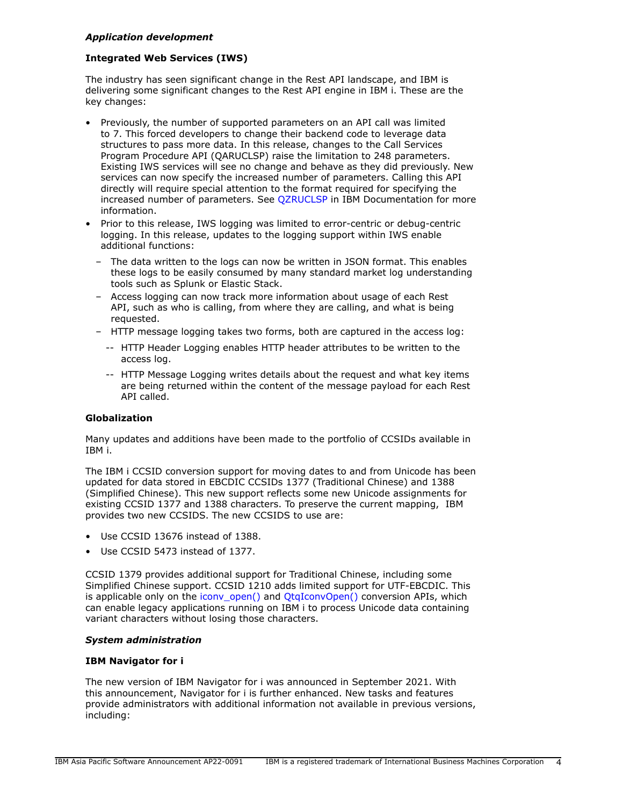## *Application development*

## **Integrated Web Services (IWS)**

The industry has seen significant change in the Rest API landscape, and IBM is delivering some significant changes to the Rest API engine in IBM i. These are the key changes:

- Previously, the number of supported parameters on an API call was limited to 7. This forced developers to change their backend code to leverage data structures to pass more data. In this release, changes to the Call Services Program Procedure API (QARUCLSP) raise the limitation to 248 parameters. Existing IWS services will see no change and behave as they did previously. New services can now specify the increased number of parameters. Calling this API directly will require special attention to the format required for specifying the increased number of parameters. See [QZRUCLSP](https://www.ibm.com/docs/api/v1/content/ssw_ibm_i_74/apis/qzruclsp.htm) in IBM Documentation for more information.
- Prior to this release, IWS logging was limited to error-centric or debug-centric logging. In this release, updates to the logging support within IWS enable additional functions:
	- The data written to the logs can now be written in JSON format. This enables these logs to be easily consumed by many standard market log understanding tools such as Splunk or Elastic Stack.
	- Access logging can now track more information about usage of each Rest API, such as who is calling, from where they are calling, and what is being requested.
	- HTTP message logging takes two forms, both are captured in the access log:
		- -- HTTP Header Logging enables HTTP header attributes to be written to the access log.
		- -- HTTP Message Logging writes details about the request and what key items are being returned within the content of the message payload for each Rest API called.

## **Globalization**

Many updates and additions have been made to the portfolio of CCSIDs available in IBM i.

The IBM i CCSID conversion support for moving dates to and from Unicode has been updated for data stored in EBCDIC CCSIDs 1377 (Traditional Chinese) and 1388 (Simplified Chinese). This new support reflects some new Unicode assignments for existing CCSID 1377 and 1388 characters. To preserve the current mapping, IBM provides two new CCSIDS. The new CCSIDS to use are:

- Use CCSID 13676 instead of 1388.
- Use CCSID 5473 instead of 1377.

CCSID 1379 provides additional support for Traditional Chinese, including some Simplified Chinese support. CCSID 1210 adds limited support for UTF-EBCDIC. This is applicable only on the icony open() and OtgIconvOpen() conversion APIs, which can enable legacy applications running on IBM i to process Unicode data containing variant characters without losing those characters.

#### *System administration*

## **IBM Navigator for i**

The new version of IBM Navigator for i was announced in September 2021. With this announcement, Navigator for i is further enhanced. New tasks and features provide administrators with additional information not available in previous versions, including: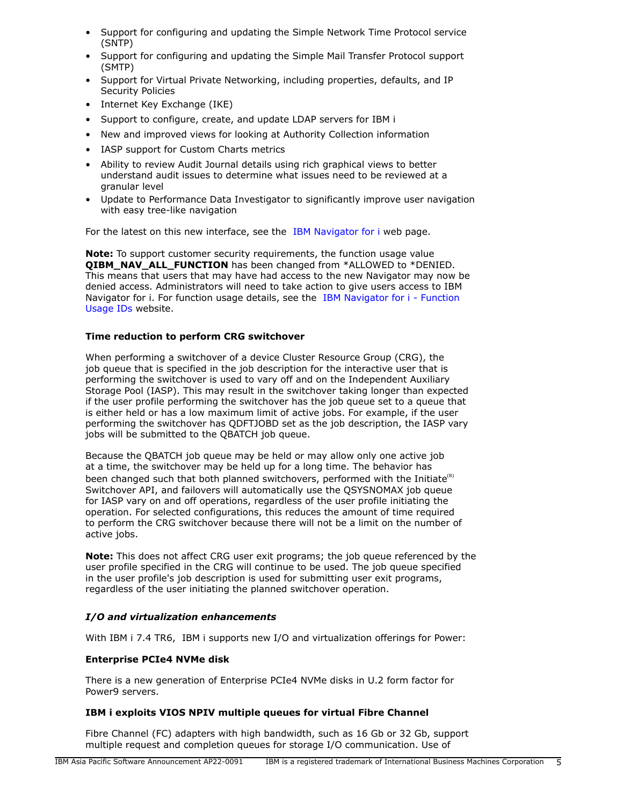- Support for configuring and updating the Simple Network Time Protocol service (SNTP)
- Support for configuring and updating the Simple Mail Transfer Protocol support (SMTP)
- Support for Virtual Private Networking, including properties, defaults, and IP Security Policies
- Internet Key Exchange (IKE)
- Support to configure, create, and update LDAP servers for IBM i
- New and improved views for looking at Authority Collection information
- IASP support for Custom Charts metrics
- Ability to review Audit Journal details using rich graphical views to better understand audit issues to determine what issues need to be reviewed at a granular level
- Update to Performance Data Investigator to significantly improve user navigation with easy tree-like navigation

For the latest on this new interface, see the [IBM Navigator for i](https://www.ibm.com/support/pages/node/6483299) web page.

**Note:** To support customer security requirements, the function usage value **QIBM\_NAV\_ALL\_FUNCTION** has been changed from \*ALLOWED to \*DENIED. This means that users that may have had access to the new Navigator may now be denied access. Administrators will need to take action to give users access to IBM Navigator for i. For function usage details, see the [IBM Navigator for i - Function](https://www.ibm.com/support/pages/node/6485853) [Usage IDs](https://www.ibm.com/support/pages/node/6485853) website.

# **Time reduction to perform CRG switchover**

When performing a switchover of a device Cluster Resource Group (CRG), the job queue that is specified in the job description for the interactive user that is performing the switchover is used to vary off and on the Independent Auxiliary Storage Pool (IASP). This may result in the switchover taking longer than expected if the user profile performing the switchover has the job queue set to a queue that is either held or has a low maximum limit of active jobs. For example, if the user performing the switchover has QDFTJOBD set as the job description, the IASP vary jobs will be submitted to the QBATCH job queue.

Because the QBATCH job queue may be held or may allow only one active job at a time, the switchover may be held up for a long time. The behavior has been changed such that both planned switchovers, performed with the Initiate $(R)$ Switchover API, and failovers will automatically use the QSYSNOMAX job queue for IASP vary on and off operations, regardless of the user profile initiating the operation. For selected configurations, this reduces the amount of time required to perform the CRG switchover because there will not be a limit on the number of active jobs.

**Note:** This does not affect CRG user exit programs; the job queue referenced by the user profile specified in the CRG will continue to be used. The job queue specified in the user profile's job description is used for submitting user exit programs, regardless of the user initiating the planned switchover operation.

# *I/O and virtualization enhancements*

With IBM i 7.4 TR6, IBM i supports new I/O and virtualization offerings for Power:

# **Enterprise PCIe4 NVMe disk**

There is a new generation of Enterprise PCIe4 NVMe disks in U.2 form factor for Power9 servers.

# **IBM i exploits VIOS NPIV multiple queues for virtual Fibre Channel**

Fibre Channel (FC) adapters with high bandwidth, such as 16 Gb or 32 Gb, support multiple request and completion queues for storage I/O communication. Use of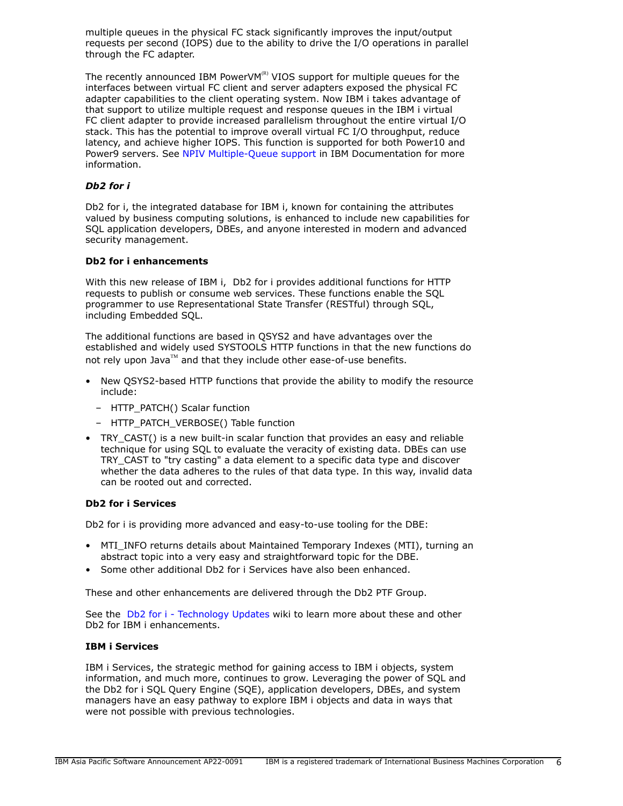multiple queues in the physical FC stack significantly improves the input/output requests per second (IOPS) due to the ability to drive the I/O operations in parallel through the FC adapter.

The recently announced IBM PowerVM $R$ <sup>R)</sup> VIOS support for multiple queues for the interfaces between virtual FC client and server adapters exposed the physical FC adapter capabilities to the client operating system. Now IBM i takes advantage of that support to utilize multiple request and response queues in the IBM i virtual FC client adapter to provide increased parallelism throughout the entire virtual I/O stack. This has the potential to improve overall virtual FC I/O throughput, reduce latency, and achieve higher IOPS. This function is supported for both Power10 and Power9 servers. See [NPIV Multiple-Queue support](https://www.ibm.com/docs/en/power10?topic=channel-npiv-multiple-queue-support) in IBM Documentation for more information.

## *Db2 for i*

Db2 for i, the integrated database for IBM i, known for containing the attributes valued by business computing solutions, is enhanced to include new capabilities for SQL application developers, DBEs, and anyone interested in modern and advanced security management.

#### **Db2 for i enhancements**

With this new release of IBM i, Db2 for i provides additional functions for HTTP requests to publish or consume web services. These functions enable the SQL programmer to use Representational State Transfer (RESTful) through SQL, including Embedded SQL.

The additional functions are based in QSYS2 and have advantages over the established and widely used SYSTOOLS HTTP functions in that the new functions do not rely upon Java™ and that they include other ease-of-use benefits.

- New QSYS2-based HTTP functions that provide the ability to modify the resource include:
	- HTTP\_PATCH() Scalar function
	- HTTP\_PATCH\_VERBOSE() Table function
- TRY CAST() is a new built-in scalar function that provides an easy and reliable technique for using SQL to evaluate the veracity of existing data. DBEs can use TRY\_CAST to "try casting" a data element to a specific data type and discover whether the data adheres to the rules of that data type. In this way, invalid data can be rooted out and corrected.

#### **Db2 for i Services**

Db2 for i is providing more advanced and easy-to-use tooling for the DBE:

- MTI INFO returns details about Maintained Temporary Indexes (MTI), turning an abstract topic into a very easy and straightforward topic for the DBE.
- Some other additional Db2 for i Services have also been enhanced.

These and other enhancements are delivered through the Db2 PTF Group.

See the [Db2 for i - Technology Updates](http://www.ibm.com/ibmi/techupdates/db2) wiki to learn more about these and other Db2 for IBM i enhancements.

## **IBM i Services**

IBM i Services, the strategic method for gaining access to IBM i objects, system information, and much more, continues to grow. Leveraging the power of SQL and the Db2 for i SQL Query Engine (SQE), application developers, DBEs, and system managers have an easy pathway to explore IBM i objects and data in ways that were not possible with previous technologies.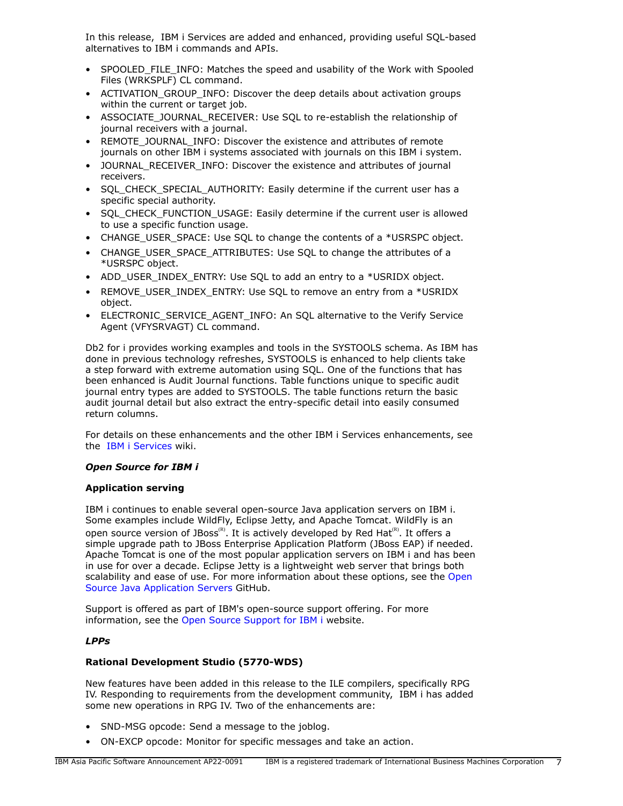In this release, IBM i Services are added and enhanced, providing useful SQL-based alternatives to IBM i commands and APIs.

- SPOOLED FILE INFO: Matches the speed and usability of the Work with Spooled Files (WRKSPLF) CL command.
- ACTIVATION\_GROUP\_INFO: Discover the deep details about activation groups within the current or target job.
- ASSOCIATE\_JOURNAL\_RECEIVER: Use SQL to re-establish the relationship of journal receivers with a journal.
- REMOTE\_JOURNAL\_INFO: Discover the existence and attributes of remote journals on other IBM i systems associated with journals on this IBM i system.
- JOURNAL\_RECEIVER\_INFO: Discover the existence and attributes of journal receivers.
- SQL\_CHECK\_SPECIAL\_AUTHORITY: Easily determine if the current user has a specific special authority.
- SQL\_CHECK\_FUNCTION\_USAGE: Easily determine if the current user is allowed to use a specific function usage.
- CHANGE\_USER\_SPACE: Use SQL to change the contents of a \*USRSPC object.
- CHANGE\_USER\_SPACE\_ATTRIBUTES: Use SOL to change the attributes of a \*USRSPC object.
- ADD\_USER\_INDEX\_ENTRY: Use SQL to add an entry to a \*USRIDX object.
- REMOVE\_USER\_INDEX\_ENTRY: Use SQL to remove an entry from a \*USRIDX object.
- ELECTRONIC SERVICE AGENT INFO: An SQL alternative to the Verify Service Agent (VFYSRVAGT) CL command.

Db2 for i provides working examples and tools in the SYSTOOLS schema. As IBM has done in previous technology refreshes, SYSTOOLS is enhanced to help clients take a step forward with extreme automation using SQL. One of the functions that has been enhanced is Audit Journal functions. Table functions unique to specific audit journal entry types are added to SYSTOOLS. The table functions return the basic audit journal detail but also extract the entry-specific detail into easily consumed return columns.

For details on these enhancements and the other IBM i Services enhancements, see the [IBM i Services](http://ibm.biz/Db2foriServices) wiki.

# *Open Source for IBM i*

# **Application serving**

IBM i continues to enable several open-source Java application servers on IBM i. Some examples include WildFly, Eclipse Jetty, and Apache Tomcat. WildFly is an open source version of JBoss<sup>(R)</sup>. It is actively developed by Red Hat<sup>(R)</sup>. It offers a simple upgrade path to JBoss Enterprise Application Platform (JBoss EAP) if needed. Apache Tomcat is one of the most popular application servers on IBM i and has been in use for over a decade. Eclipse Jetty is a lightweight web server that brings both scalability and ease of use. For more information about these options, see the [Open](https://ibmi-oss-docs.readthedocs.io/en/latest/java/APP_SERVERS.html) [Source Java Application Servers](https://ibmi-oss-docs.readthedocs.io/en/latest/java/APP_SERVERS.html) GitHub.

Support is offered as part of IBM's open-source support offering. For more information, see the [Open Source Support for IBM i](http://ibm.biz/ibmi-oss-support) website.

# *LPPs*

# **Rational Development Studio (5770-WDS)**

New features have been added in this release to the ILE compilers, specifically RPG IV. Responding to requirements from the development community, IBM i has added some new operations in RPG IV. Two of the enhancements are:

- SND-MSG opcode: Send a message to the joblog.
- ON-EXCP opcode: Monitor for specific messages and take an action.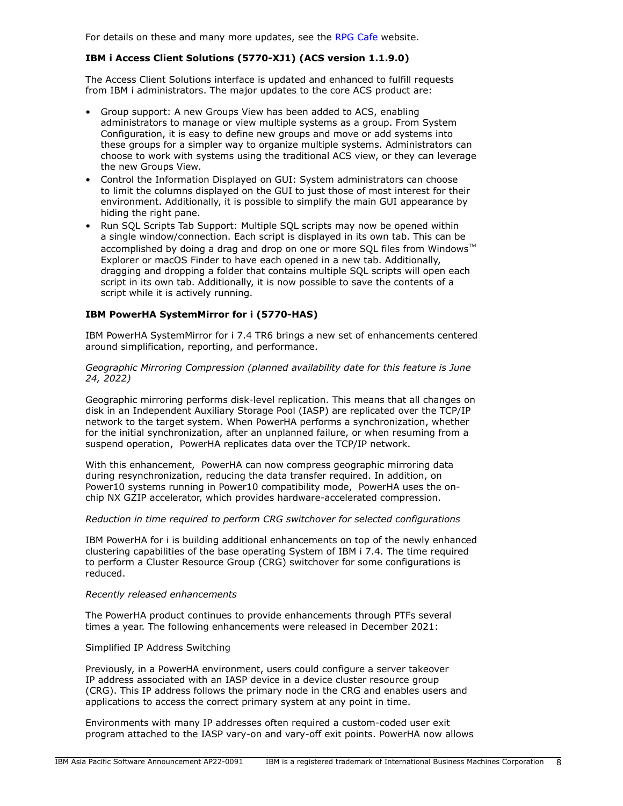For details on these and many more updates, see the [RPG Cafe](https://ibm.biz/rpg_cafe) website.

## **IBM i Access Client Solutions (5770-XJ1) (ACS version 1.1.9.0)**

The Access Client Solutions interface is updated and enhanced to fulfill requests from IBM i administrators. The major updates to the core ACS product are:

- Group support: A new Groups View has been added to ACS, enabling administrators to manage or view multiple systems as a group. From System Configuration, it is easy to define new groups and move or add systems into these groups for a simpler way to organize multiple systems. Administrators can choose to work with systems using the traditional ACS view, or they can leverage the new Groups View.
- Control the Information Displayed on GUI: System administrators can choose to limit the columns displayed on the GUI to just those of most interest for their environment. Additionally, it is possible to simplify the main GUI appearance by hiding the right pane.
- Run SQL Scripts Tab Support: Multiple SQL scripts may now be opened within a single window/connection. Each script is displayed in its own tab. This can be accomplished by doing a drag and drop on one or more SQL files from Windows $\mathbb{I}^{\mathbb{M}}$ Explorer or macOS Finder to have each opened in a new tab. Additionally, dragging and dropping a folder that contains multiple SQL scripts will open each script in its own tab. Additionally, it is now possible to save the contents of a script while it is actively running.

## **IBM PowerHA SystemMirror for i (5770-HAS)**

IBM PowerHA SystemMirror for i 7.4 TR6 brings a new set of enhancements centered around simplification, reporting, and performance.

*Geographic Mirroring Compression (planned availability date for this feature is June 24, 2022)*

Geographic mirroring performs disk-level replication. This means that all changes on disk in an Independent Auxiliary Storage Pool (IASP) are replicated over the TCP/IP network to the target system. When PowerHA performs a synchronization, whether for the initial synchronization, after an unplanned failure, or when resuming from a suspend operation, PowerHA replicates data over the TCP/IP network.

With this enhancement, PowerHA can now compress geographic mirroring data during resynchronization, reducing the data transfer required. In addition, on Power10 systems running in Power10 compatibility mode, PowerHA uses the onchip NX GZIP accelerator, which provides hardware-accelerated compression.

#### *Reduction in time required to perform CRG switchover for selected configurations*

IBM PowerHA for i is building additional enhancements on top of the newly enhanced clustering capabilities of the base operating System of IBM i 7.4. The time required to perform a Cluster Resource Group (CRG) switchover for some configurations is reduced.

#### *Recently released enhancements*

The PowerHA product continues to provide enhancements through PTFs several times a year. The following enhancements were released in December 2021:

#### Simplified IP Address Switching

Previously, in a PowerHA environment, users could configure a server takeover IP address associated with an IASP device in a device cluster resource group (CRG). This IP address follows the primary node in the CRG and enables users and applications to access the correct primary system at any point in time.

Environments with many IP addresses often required a custom-coded user exit program attached to the IASP vary-on and vary-off exit points. PowerHA now allows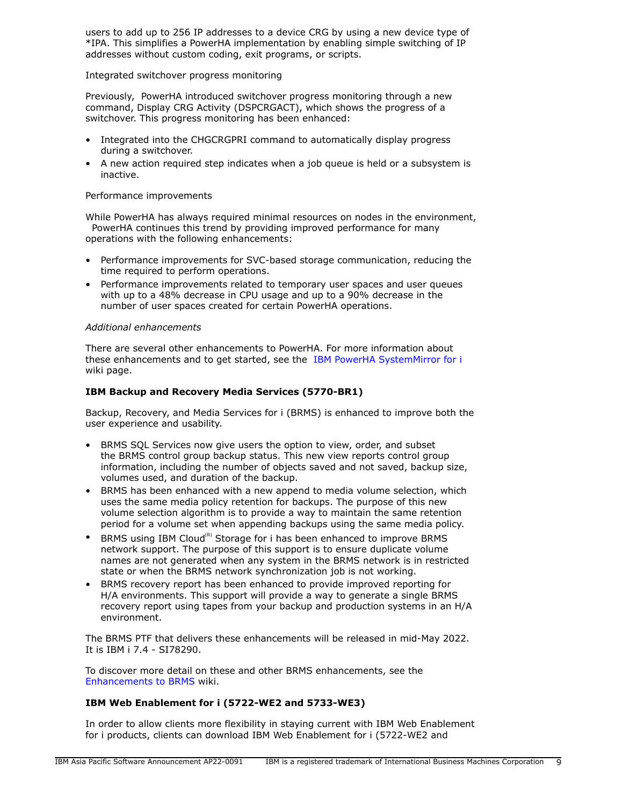users to add up to 256 IP addresses to a device CRG by using a new device type of \*IPA. This simplifies a PowerHA implementation by enabling simple switching of IP addresses without custom coding, exit programs, or scripts.

#### Integrated switchover progress monitoring

Previously, PowerHA introduced switchover progress monitoring through a new command, Display CRG Activity (DSPCRGACT), which shows the progress of a switchover. This progress monitoring has been enhanced:

- Integrated into the CHGCRGPRI command to automatically display progress during a switchover.
- A new action required step indicates when a job queue is held or a subsystem is inactive.

## Performance improvements

While PowerHA has always required minimal resources on nodes in the environment, PowerHA continues this trend by providing improved performance for many operations with the following enhancements:

- Performance improvements for SVC-based storage communication, reducing the time required to perform operations.
- Performance improvements related to temporary user spaces and user queues with up to a 48% decrease in CPU usage and up to a 90% decrease in the number of user spaces created for certain PowerHA operations.

## *Additional enhancements*

There are several other enhancements to PowerHA. For more information about these enhancements and to get started, see the [IBM PowerHA SystemMirror for i](https://ibm.biz/ibmi-powerha) wiki page.

## **IBM Backup and Recovery Media Services (5770-BR1)**

Backup, Recovery, and Media Services for i (BRMS) is enhanced to improve both the user experience and usability.

- BRMS SQL Services now give users the option to view, order, and subset the BRMS control group backup status. This new view reports control group information, including the number of objects saved and not saved, backup size, volumes used, and duration of the backup.
- BRMS has been enhanced with a new append to media volume selection, which uses the same media policy retention for backups. The purpose of this new volume selection algorithm is to provide a way to maintain the same retention period for a volume set when appending backups using the same media policy.
- BRMS using IBM Cloud<sup>(R)</sup> Storage for i has been enhanced to improve BRMS network support. The purpose of this support is to ensure duplicate volume names are not generated when any system in the BRMS network is in restricted state or when the BRMS network synchronization job is not working.
- BRMS recovery report has been enhanced to provide improved reporting for H/A environments. This support will provide a way to generate a single BRMS recovery report using tapes from your backup and production systems in an H/A environment.

The BRMS PTF that delivers these enhancements will be released in mid-May 2022. It is IBM i 7.4 - SI78290.

To discover more detail on these and other BRMS enhancements, see the [Enhancements to BRMS](https://helpsystemswiki.atlassian.net/wiki/spaces/IWT/pages/165642446/Enhancements+to+BRMS) wiki.

# **IBM Web Enablement for i (5722-WE2 and 5733-WE3)**

In order to allow clients more flexibility in staying current with IBM Web Enablement for i products, clients can download IBM Web Enablement for i (5722-WE2 and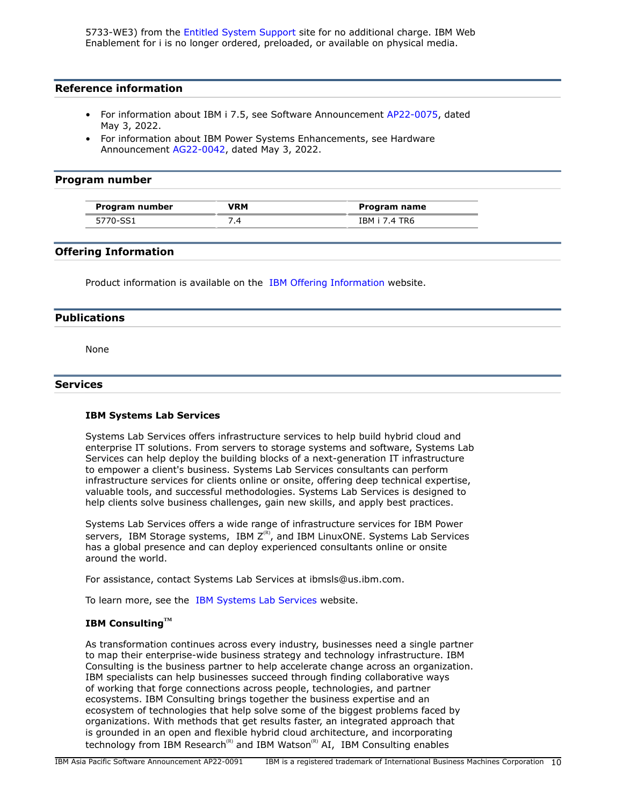5733-WE3) from the [Entitled System Support](https://www.ibm.com/servers/eserver/ess/index.wss) site for no additional charge. IBM Web Enablement for i is no longer ordered, preloaded, or available on physical media.

#### **Reference information**

- For information about IBM i 7.5, see Software Announcement [AP22-0075](http://www.ibm.com/common/ssi/cgi-bin/ssialias?infotype=an&subtype=ca&appname=gpateam&supplier=872&letternum=ENUSAP22-0075), dated May 3, 2022.
- For information about IBM Power Systems Enhancements, see Hardware Announcement [AG22-0042](http://www.ibm.com/common/ssi/cgi-bin/ssialias?infotype=an&subtype=ca&appname=gpateam&supplier=872&letternum=ENUSAG22-0042), dated May 3, 2022.

#### <span id="page-9-0"></span>**Program number**

| Program number | <b>/RM</b> | Program name  |
|----------------|------------|---------------|
| 5770-SS1       |            | IBM i 7.4 TR6 |

#### **Offering Information**

Product information is available on the [IBM Offering Information](http://www.ibm.com/common/ssi) website.

#### <span id="page-9-1"></span>**Publications**

None

#### **Services**

#### **IBM Systems Lab Services**

Systems Lab Services offers infrastructure services to help build hybrid cloud and enterprise IT solutions. From servers to storage systems and software, Systems Lab Services can help deploy the building blocks of a next-generation IT infrastructure to empower a client's business. Systems Lab Services consultants can perform infrastructure services for clients online or onsite, offering deep technical expertise, valuable tools, and successful methodologies. Systems Lab Services is designed to help clients solve business challenges, gain new skills, and apply best practices.

Systems Lab Services offers a wide range of infrastructure services for IBM Power servers, IBM Storage systems, IBM  $Z^{(R)}$ , and IBM LinuxONE. Systems Lab Services has a global presence and can deploy experienced consultants online or onsite around the world.

For assistance, contact Systems Lab Services at ibmsls@us.ibm.com.

To learn more, see the [IBM Systems Lab Services](https://www.ibm.com/it-infrastructure/services/lab-services) website.

# **IBM ConsultingTM**

As transformation continues across every industry, businesses need a single partner to map their enterprise-wide business strategy and technology infrastructure. IBM Consulting is the business partner to help accelerate change across an organization. IBM specialists can help businesses succeed through finding collaborative ways of working that forge connections across people, technologies, and partner ecosystems. IBM Consulting brings together the business expertise and an ecosystem of technologies that help solve some of the biggest problems faced by organizations. With methods that get results faster, an integrated approach that is grounded in an open and flexible hybrid cloud architecture, and incorporating technology from IBM Research<sup>(R)</sup> and IBM Watson<sup>(R)</sup> AI, IBM Consulting enables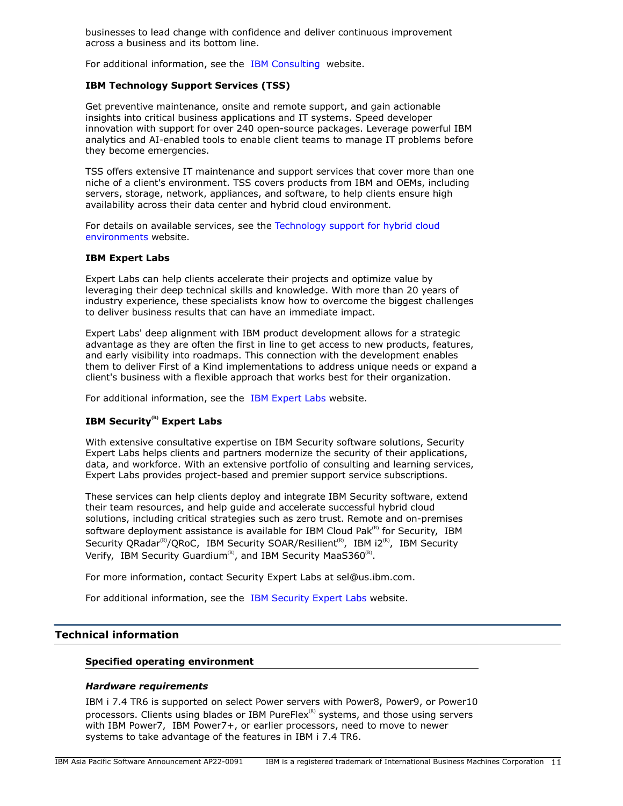businesses to lead change with confidence and deliver continuous improvement across a business and its bottom line.

For additional information, see the [IBM Consulting](https://www.ibm.com/consulting) website.

# **IBM Technology Support Services (TSS)**

Get preventive maintenance, onsite and remote support, and gain actionable insights into critical business applications and IT systems. Speed developer innovation with support for over 240 open-source packages. Leverage powerful IBM analytics and AI-enabled tools to enable client teams to manage IT problems before they become emergencies.

TSS offers extensive IT maintenance and support services that cover more than one niche of a client's environment. TSS covers products from IBM and OEMs, including servers, storage, network, appliances, and software, to help clients ensure high availability across their data center and hybrid cloud environment.

For details on available services, see the [Technology support for hybrid cloud](https://www.ibm.com/services/technology-support) [environments](https://www.ibm.com/services/technology-support) website.

#### **IBM Expert Labs**

Expert Labs can help clients accelerate their projects and optimize value by leveraging their deep technical skills and knowledge. With more than 20 years of industry experience, these specialists know how to overcome the biggest challenges to deliver business results that can have an immediate impact.

Expert Labs' deep alignment with IBM product development allows for a strategic advantage as they are often the first in line to get access to new products, features, and early visibility into roadmaps. This connection with the development enables them to deliver First of a Kind implementations to address unique needs or expand a client's business with a flexible approach that works best for their organization.

For additional information, see the [IBM Expert Labs](https://www.ibm.com/products/expertlabs) website.

# **IBM Security(R) Expert Labs**

With extensive consultative expertise on IBM Security software solutions, Security Expert Labs helps clients and partners modernize the security of their applications, data, and workforce. With an extensive portfolio of consulting and learning services, Expert Labs provides project-based and premier support service subscriptions.

These services can help clients deploy and integrate IBM Security software, extend their team resources, and help guide and accelerate successful hybrid cloud solutions, including critical strategies such as zero trust. Remote and on-premises software deployment assistance is available for IBM Cloud Pak $R$ <sup>(R)</sup> for Security, IBM Security QRadar<sup>(R)</sup>/QRoC, IBM Security SOAR/Resilient<sup>(R)</sup>, IBM i2<sup>(R)</sup>, IBM Security Verify, IBM Security Guardium<sup>(R)</sup>, and IBM Security MaaS360<sup>(R)</sup>.

For more information, contact Security Expert Labs at sel@us.ibm.com.

For additional information, see the [IBM Security Expert Labs](https://www.ibm.com/security/security-expert-labs) website.

## <span id="page-10-0"></span>**Technical information**

#### **Specified operating environment**

#### *Hardware requirements*

IBM i 7.4 TR6 is supported on select Power servers with Power8, Power9, or Power10 processors. Clients using blades or IBM PureFlex ${}^{\text{\tiny(R)}}$  systems, and those using servers with IBM Power7, IBM Power7+, or earlier processors, need to move to newer systems to take advantage of the features in IBM i 7.4 TR6.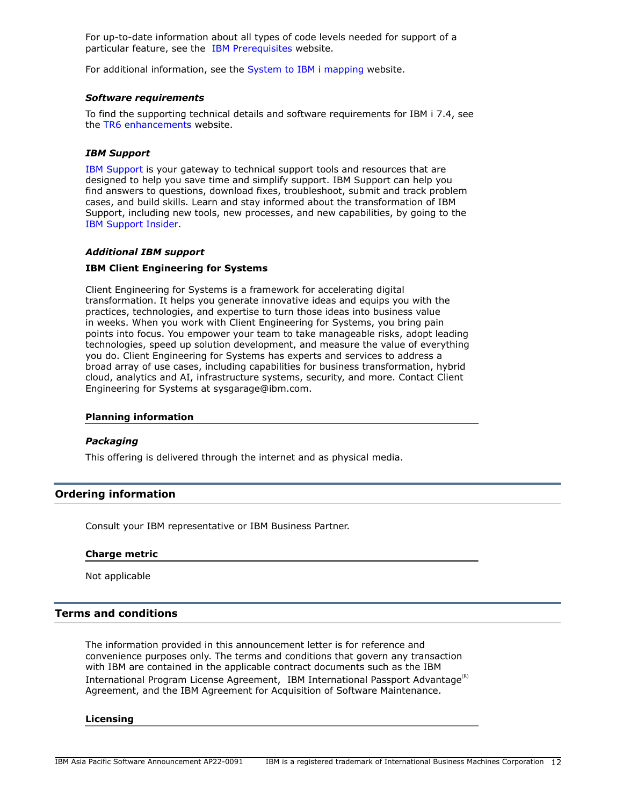For up-to-date information about all types of code levels needed for support of a particular feature, see the [IBM Prerequisites](https://www-912.ibm.com/e_dir/eServerPrereq.nsf) website.

For additional information, see the [System to IBM i mapping](http://www-01.ibm.com/support/docview.wss?uid=ssm1platformibmi) website.

#### *Software requirements*

To find the supporting technical details and software requirements for IBM i 7.4, see the [TR6 enhancements](https://www.ibm.com/ibmi/techupdates/i74-tr6) website.

#### *IBM Support*

[IBM Support](https://www.ibm.com/support) is your gateway to technical support tools and resources that are designed to help you save time and simplify support. IBM Support can help you find answers to questions, download fixes, troubleshoot, submit and track problem cases, and build skills. Learn and stay informed about the transformation of IBM Support, including new tools, new processes, and new capabilities, by going to the [IBM Support Insider](https://www.ibm.com/support/insider).

#### *Additional IBM support*

#### **IBM Client Engineering for Systems**

Client Engineering for Systems is a framework for accelerating digital transformation. It helps you generate innovative ideas and equips you with the practices, technologies, and expertise to turn those ideas into business value in weeks. When you work with Client Engineering for Systems, you bring pain points into focus. You empower your team to take manageable risks, adopt leading technologies, speed up solution development, and measure the value of everything you do. Client Engineering for Systems has experts and services to address a broad array of use cases, including capabilities for business transformation, hybrid cloud, analytics and AI, infrastructure systems, security, and more. Contact Client Engineering for Systems at sysgarage@ibm.com.

#### **Planning information**

#### *Packaging*

This offering is delivered through the internet and as physical media.

# <span id="page-11-0"></span>**Ordering information**

Consult your IBM representative or IBM Business Partner.

#### **Charge metric**

Not applicable

## <span id="page-11-1"></span>**Terms and conditions**

The information provided in this announcement letter is for reference and convenience purposes only. The terms and conditions that govern any transaction with IBM are contained in the applicable contract documents such as the IBM International Program License Agreement, IBM International Passport Advantage<sup>(R)</sup> Agreement, and the IBM Agreement for Acquisition of Software Maintenance.

#### **Licensing**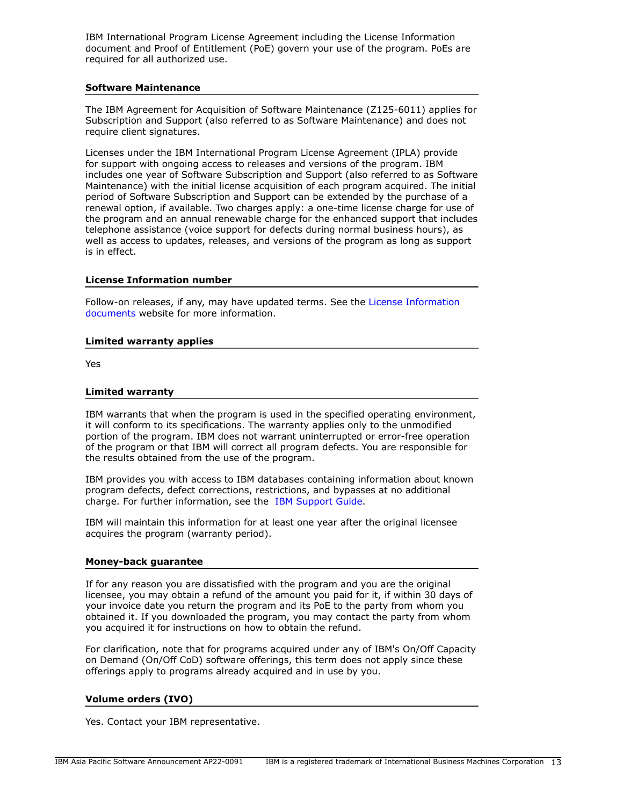IBM International Program License Agreement including the License Information document and Proof of Entitlement (PoE) govern your use of the program. PoEs are required for all authorized use.

## **Software Maintenance**

The IBM Agreement for Acquisition of Software Maintenance (Z125-6011) applies for Subscription and Support (also referred to as Software Maintenance) and does not require client signatures.

Licenses under the IBM International Program License Agreement (IPLA) provide for support with ongoing access to releases and versions of the program. IBM includes one year of Software Subscription and Support (also referred to as Software Maintenance) with the initial license acquisition of each program acquired. The initial period of Software Subscription and Support can be extended by the purchase of a renewal option, if available. Two charges apply: a one-time license charge for use of the program and an annual renewable charge for the enhanced support that includes telephone assistance (voice support for defects during normal business hours), as well as access to updates, releases, and versions of the program as long as support is in effect.

## **License Information number**

Follow-on releases, if any, may have updated terms. See the [License Information](https://www.ibm.com/software/sla/sladb.nsf/search?OpenForm) [documents](https://www.ibm.com/software/sla/sladb.nsf/search?OpenForm) website for more information.

#### **Limited warranty applies**

Yes

#### **Limited warranty**

IBM warrants that when the program is used in the specified operating environment, it will conform to its specifications. The warranty applies only to the unmodified portion of the program. IBM does not warrant uninterrupted or error-free operation of the program or that IBM will correct all program defects. You are responsible for the results obtained from the use of the program.

IBM provides you with access to IBM databases containing information about known program defects, defect corrections, restrictions, and bypasses at no additional charge. For further information, see the [IBM Support Guide](http://www.ibm.com/support/customercare/sas/f/handbook/home.html).

IBM will maintain this information for at least one year after the original licensee acquires the program (warranty period).

#### **Money-back guarantee**

If for any reason you are dissatisfied with the program and you are the original licensee, you may obtain a refund of the amount you paid for it, if within 30 days of your invoice date you return the program and its PoE to the party from whom you obtained it. If you downloaded the program, you may contact the party from whom you acquired it for instructions on how to obtain the refund.

For clarification, note that for programs acquired under any of IBM's On/Off Capacity on Demand (On/Off CoD) software offerings, this term does not apply since these offerings apply to programs already acquired and in use by you.

# **Volume orders (IVO)**

Yes. Contact your IBM representative.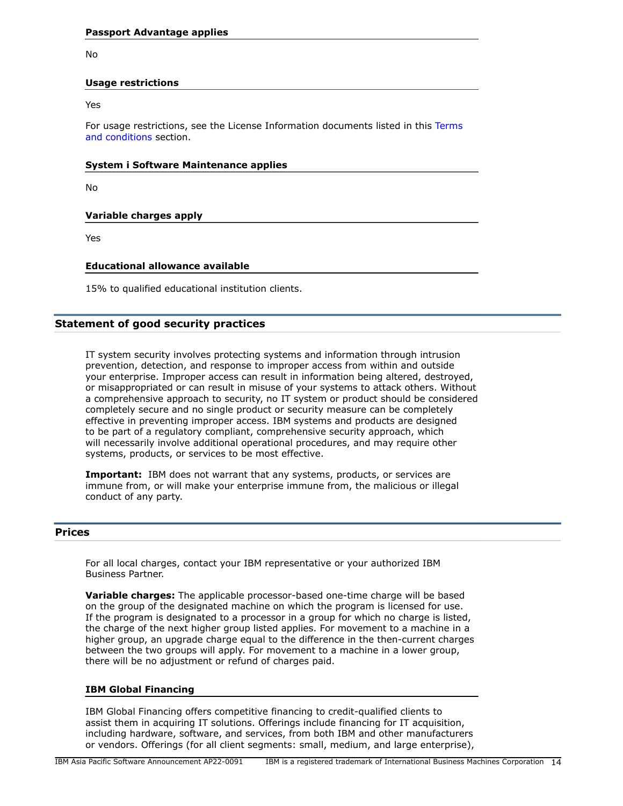No

## **Usage restrictions**

Yes

For usage restrictions, see the License Information documents listed in this [Terms](#page-11-1) [and conditions](#page-11-1) section.

## **System i Software Maintenance applies**

No

# **Variable charges apply**

Yes

## **Educational allowance available**

15% to qualified educational institution clients.

# **Statement of good security practices**

IT system security involves protecting systems and information through intrusion prevention, detection, and response to improper access from within and outside your enterprise. Improper access can result in information being altered, destroyed, or misappropriated or can result in misuse of your systems to attack others. Without a comprehensive approach to security, no IT system or product should be considered completely secure and no single product or security measure can be completely effective in preventing improper access. IBM systems and products are designed to be part of a regulatory compliant, comprehensive security approach, which will necessarily involve additional operational procedures, and may require other systems, products, or services to be most effective.

**Important:** IBM does not warrant that any systems, products, or services are immune from, or will make your enterprise immune from, the malicious or illegal conduct of any party.

# <span id="page-13-0"></span>**Prices**

For all local charges, contact your IBM representative or your authorized IBM Business Partner.

**Variable charges:** The applicable processor-based one-time charge will be based on the group of the designated machine on which the program is licensed for use. If the program is designated to a processor in a group for which no charge is listed, the charge of the next higher group listed applies. For movement to a machine in a higher group, an upgrade charge equal to the difference in the then-current charges between the two groups will apply. For movement to a machine in a lower group, there will be no adjustment or refund of charges paid.

#### **IBM Global Financing**

IBM Global Financing offers competitive financing to credit-qualified clients to assist them in acquiring IT solutions. Offerings include financing for IT acquisition, including hardware, software, and services, from both IBM and other manufacturers or vendors. Offerings (for all client segments: small, medium, and large enterprise),